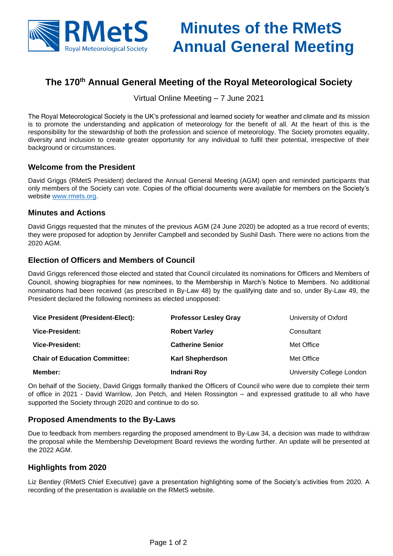

# **Minutes of the RMetS Annual General Meeting**

## The 170<sup>th</sup> Annual General Meeting of the Royal Meteorological Society

Virtual Online Meeting – 7 June 2021

The Royal Meteorological Society is the UK's professional and learned society for weather and climate and its mission is to promote the understanding and application of meteorology for the benefit of all. At the heart of this is the responsibility for the stewardship of both the profession and science of meteorology. The Society promotes equality, diversity and inclusion to create greater opportunity for any individual to fulfil their potential, irrespective of their background or circumstances.

#### Welcome from the President

David Griggs (RMetS President) declared the Annual General Meeting (AGM) open and reminded participants that only members of the Society can vote. Copies of the official documents were available for members on the Society's website [www.rmets.org.](http://www.rmets.org/)

#### Minutes and Actions

David Griggs requested that the minutes of the previous AGM (24 June 2020) be adopted as a true record of events; they were proposed for adoption by Jennifer Campbell and seconded by Sushil Dash. There were no actions from the 2020 AGM.

#### Election of Officers and Members of Council

David Griggs referenced those elected and stated that Council circulated its nominations for Officers and Members of Council, showing biographies for new nominees, to the Membership in March's Notice to Members. No additional nominations had been received (as prescribed in By-Law 48) by the qualifying date and so, under By-Law 49, the President declared the following nominees as elected unopposed:

| Vice President (President-Elect):    | Professor Lesley Gray   | University of Oxford      |
|--------------------------------------|-------------------------|---------------------------|
| Vice-President:                      | <b>Robert Varley</b>    | Consultant                |
| Vice-President:                      | <b>Catherine Senior</b> | Met Office                |
| <b>Chair of Education Committee:</b> | Karl Shepherdson        | Met Office                |
| Member:                              | Indrani Roy             | University College London |

On behalf of the Society, David Griggs formally thanked the Officers of Council who were due to complete their term of office in 2021 - David Warrilow, Jon Petch, and Helen Rossington – and expressed gratitude to all who have supported the Society through 2020 and continue to do so.

#### **Proposed Amendments to the By-Laws**

Due to feedback from members regarding the proposed amendment to By-Law 34, a decision was made to withdraw the proposal while the Membership Development Board reviews the wording further. An update will be presented at the 2022 AGM.

#### **Highlights from 2020**

Liz Bentley (RMetS Chief Executive) gave a presentation highlighting some of the Society's activities from 2020. A recording of the presentation is available on the RMetS website.